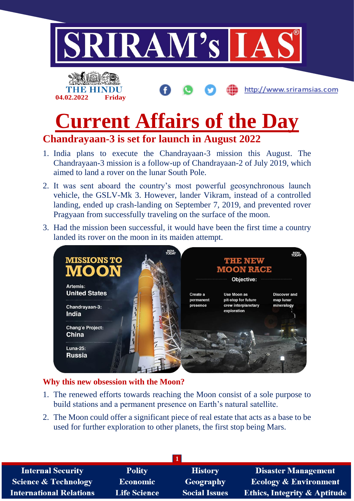

# **Current Affairs of the Day**

# **Chandrayaan-3 is set for launch in August 2022**

- 1. India plans to execute the Chandrayaan-3 mission this August. The Chandrayaan-3 mission is a follow-up of Chandrayaan-2 of July 2019, which aimed to land a rover on the lunar South Pole.
- 2. It was sent aboard the country's most powerful geosynchronous launch vehicle, the GSLV-Mk 3. However, lander Vikram, instead of a controlled landing, ended up crash-landing on September 7, 2019, and prevented rover Pragyaan from successfully traveling on the surface of the moon.
- 3. Had the mission been successful, it would have been the first time a country landed its rover on the moon in its maiden attempt.



## **Why this new obsession with the Moon?**

- 1. The renewed efforts towards reaching the Moon consist of a sole purpose to build stations and a permanent presence on Earth's natural satellite.
- 2. The Moon could offer a significant piece of real estate that acts as a base to be used for further exploration to other planets, the first stop being Mars.

| <b>Internal Security</b>        | <b>Polity</b>       | <b>History</b>       | <b>Disaster Management</b>              |
|---------------------------------|---------------------|----------------------|-----------------------------------------|
| <b>Science &amp; Technology</b> | <b>Economic</b>     | Geography            | <b>Ecology &amp; Environment</b>        |
| <b>International Relations</b>  | <b>Life Science</b> | <b>Social Issues</b> | <b>Ethics, Integrity &amp; Aptitude</b> |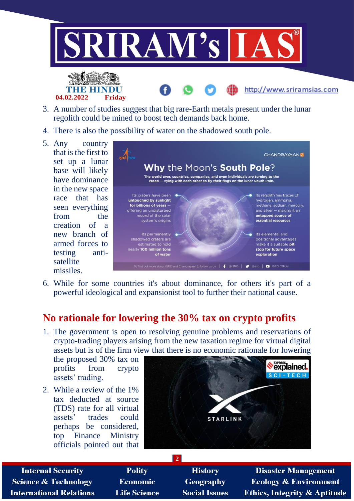



- 3. A number of studies suggest that big rare-Earth metals present under the lunar regolith could be mined to boost tech demands back home.
- 4. There is also the possibility of water on the shadowed south pole.
- 5. Any country that is the first to set up a lunar base will likely have dominance in the new space race that has seen everything from the creation of a new branch of armed forces to testing antisatellite missiles.



6. While for some countries it's about dominance, for others it's part of a powerful ideological and expansionist tool to further their national cause.

## **No rationale for lowering the 30% tax on crypto profits**

1. The government is open to resolving genuine problems and reservations of crypto-trading players arising from the new taxation regime for virtual digital assets but is of the firm view that there is no economic rationale for lowering

**2**

the proposed 30% tax on profits from crypto assets' trading.

2. While a review of the 1% tax deducted at source (TDS) rate for all virtual assets' trades could perhaps be considered, top Finance Ministry officials pointed out that



**Internal Security Science & Technology International Relations** 

**Polity Economic Life Science** 

**History** Geography **Social Issues** 

**Disaster Management Ecology & Environment Ethics, Integrity & Aptitude** 

http://www.sriramsias.com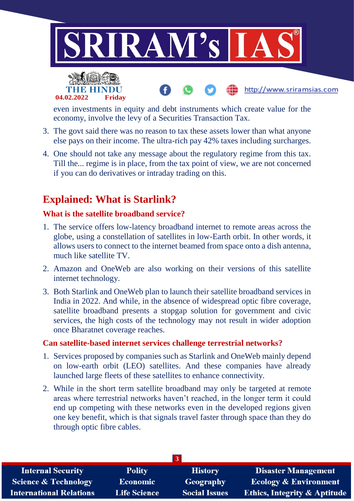



even investments in equity and debt instruments which create value for the economy, involve the levy of a Securities Transaction Tax.

http://www.sriramsias.com

- 3. The govt said there was no reason to tax these assets lower than what anyone else pays on their income. The ultra-rich pay 42% taxes including surcharges.
- 4. One should not take any message about the regulatory regime from this tax. Till the... regime is in place, from the tax point of view, we are not concerned if you can do derivatives or intraday trading on this.

# **Explained: What is Starlink?**

### **What is the satellite broadband service?**

- 1. The service offers low-latency broadband internet to remote areas across the globe, using a constellation of satellites in low-Earth orbit. In other words, it allows users to connect to the internet beamed from space onto a dish antenna, much like satellite TV.
- 2. Amazon and OneWeb are also working on their versions of this satellite internet technology.
- 3. Both Starlink and OneWeb plan to launch their satellite broadband services in India in 2022. And while, in the absence of widespread optic fibre coverage, satellite broadband presents a stopgap solution for government and civic services, the high costs of the technology may not result in wider adoption once Bharatnet coverage reaches.

#### **Can satellite-based internet services challenge terrestrial networks?**

- 1. Services proposed by companies such as Starlink and OneWeb mainly depend on low-earth orbit (LEO) satellites. And these companies have already launched large fleets of these satellites to enhance connectivity.
- 2. While in the short term satellite broadband may only be targeted at remote areas where terrestrial networks haven't reached, in the longer term it could end up competing with these networks even in the developed regions given one key benefit, which is that signals travel faster through space than they do through optic fibre cables.

| <b>Internal Security</b>        | <b>Polity</b>       | <b>History</b>       | <b>Disaster Management</b>              |  |  |
|---------------------------------|---------------------|----------------------|-----------------------------------------|--|--|
| <b>Science &amp; Technology</b> | <b>Economic</b>     | <b>Geography</b>     | <b>Ecology &amp; Environment</b>        |  |  |
| <b>International Relations</b>  | <b>Life Science</b> | <b>Social Issues</b> | <b>Ethics, Integrity &amp; Aptitude</b> |  |  |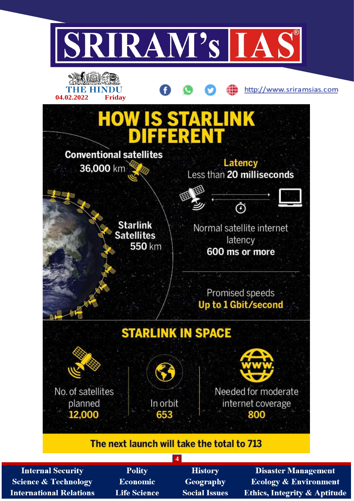

**Internal Security Science & Technology International Relations** 

- **Polity Economic Life Science**
- **History Geography Social Issues**

**Disaster Management Ecology & Environment Ethics, Integrity & Aptitude**